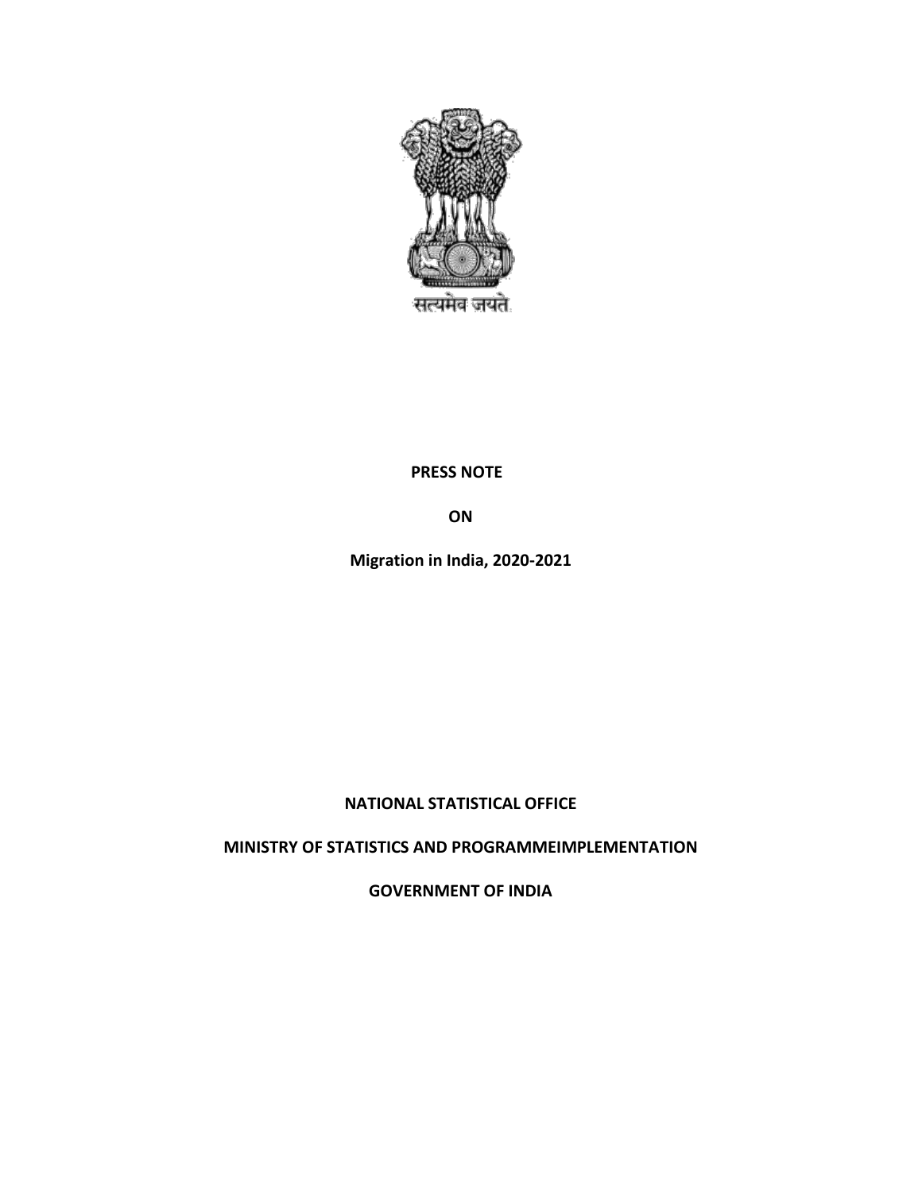

#### **PRESS NOTE**

**ON**

**Migration in India, 2020-2021**

## **NATIONAL STATISTICAL OFFICE**

## **MINISTRY OF STATISTICS AND PROGRAMMEIMPLEMENTATION**

**GOVERNMENT OF INDIA**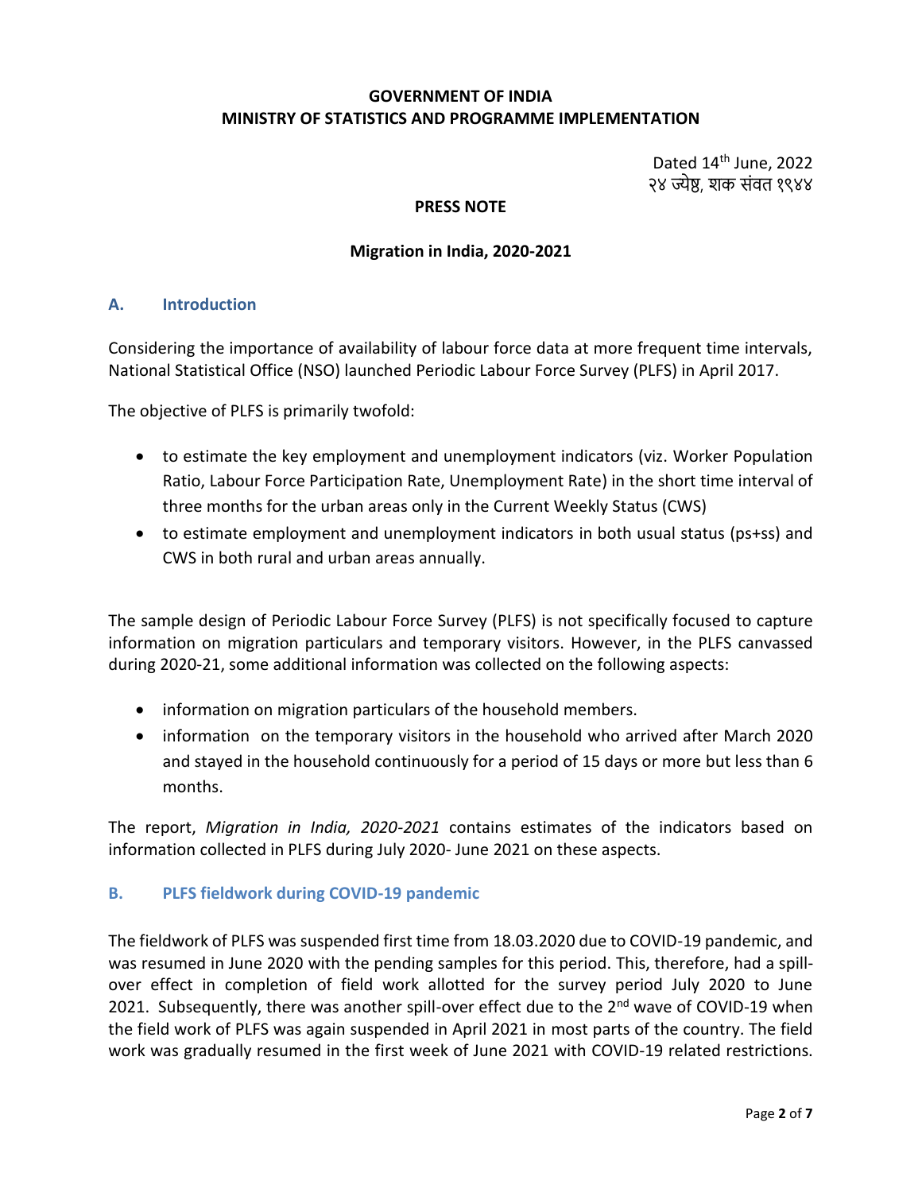#### **GOVERNMENT OF INDIA MINISTRY OF STATISTICS AND PROGRAMME IMPLEMENTATION**

Dated 14<sup>th</sup> June, 2022 २४ ज्येष्ठ, शक संवत १९४४

#### **PRESS NOTE**

#### **Migration in India, 2020-2021**

#### **A. Introduction**

Considering the importance of availability of labour force data at more frequent time intervals, National Statistical Office (NSO) launched Periodic Labour Force Survey (PLFS) in April 2017.

The objective of PLFS is primarily twofold:

- to estimate the key employment and unemployment indicators (viz. Worker Population Ratio, Labour Force Participation Rate, Unemployment Rate) in the short time interval of three months for the urban areas only in the Current Weekly Status (CWS)
- to estimate employment and unemployment indicators in both usual status (ps+ss) and CWS in both rural and urban areas annually.

The sample design of Periodic Labour Force Survey (PLFS) is not specifically focused to capture information on migration particulars and temporary visitors. However, in the PLFS canvassed during 2020-21, some additional information was collected on the following aspects:

- information on migration particulars of the household members.
- information on the temporary visitors in the household who arrived after March 2020 and stayed in the household continuously for a period of 15 days or more but less than 6 months.

The report, *Migration in India, 2020-2021* contains estimates of the indicators based on information collected in PLFS during July 2020- June 2021 on these aspects.

#### **B. PLFS fieldwork during COVID-19 pandemic**

The fieldwork of PLFS was suspended first time from 18.03.2020 due to COVID-19 pandemic, and was resumed in June 2020 with the pending samples for this period. This, therefore, had a spillover effect in completion of field work allotted for the survey period July 2020 to June 2021. Subsequently, there was another spill-over effect due to the 2<sup>nd</sup> wave of COVID-19 when the field work of PLFS was again suspended in April 2021 in most parts of the country. The field work was gradually resumed in the first week of June 2021 with COVID-19 related restrictions.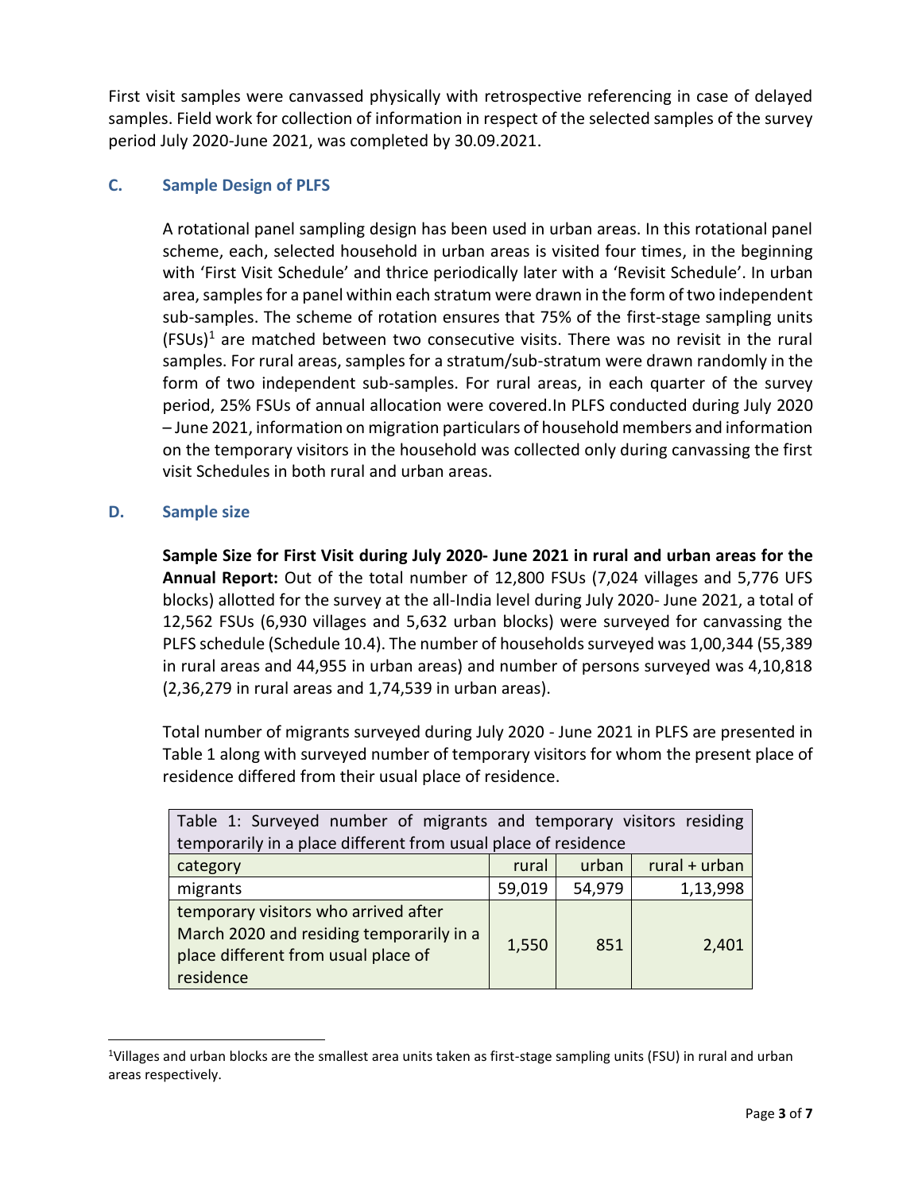First visit samples were canvassed physically with retrospective referencing in case of delayed samples. Field work for collection of information in respect of the selected samples of the survey period July 2020-June 2021, was completed by 30.09.2021.

#### **C. Sample Design of PLFS**

A rotational panel sampling design has been used in urban areas. In this rotational panel scheme, each, selected household in urban areas is visited four times, in the beginning with 'First Visit Schedule' and thrice periodically later with a 'Revisit Schedule'. In urban area, samples for a panel within each stratum were drawn in the form of two independent sub-samples. The scheme of rotation ensures that 75% of the first-stage sampling units  $(FSUs)<sup>1</sup>$  are matched between two consecutive visits. There was no revisit in the rural samples. For rural areas, samples for a stratum/sub-stratum were drawn randomly in the form of two independent sub-samples. For rural areas, in each quarter of the survey period, 25% FSUs of annual allocation were covered.In PLFS conducted during July 2020 – June 2021, information on migration particulars of household members and information on the temporary visitors in the household was collected only during canvassing the first visit Schedules in both rural and urban areas.

#### **D. Sample size**

 $\overline{a}$ 

**Sample Size for First Visit during July 2020- June 2021 in rural and urban areas for the Annual Report:** Out of the total number of 12,800 FSUs (7,024 villages and 5,776 UFS blocks) allotted for the survey at the all-India level during July 2020- June 2021, a total of 12,562 FSUs (6,930 villages and 5,632 urban blocks) were surveyed for canvassing the PLFS schedule (Schedule 10.4). The number of households surveyed was 1,00,344 (55,389 in rural areas and 44,955 in urban areas) and number of persons surveyed was 4,10,818 (2,36,279 in rural areas and 1,74,539 in urban areas).

Total number of migrants surveyed during July 2020 - June 2021 in PLFS are presented in Table 1 along with surveyed number of temporary visitors for whom the present place of residence differed from their usual place of residence.

| Table 1: Surveyed number of migrants and temporary visitors residing                                                                 |        |        |                 |
|--------------------------------------------------------------------------------------------------------------------------------------|--------|--------|-----------------|
| temporarily in a place different from usual place of residence                                                                       |        |        |                 |
| category                                                                                                                             | rural  | urban  | $rural + urban$ |
| migrants                                                                                                                             | 59,019 | 54,979 | 1,13,998        |
| temporary visitors who arrived after<br>March 2020 and residing temporarily in a<br>place different from usual place of<br>residence | 1,550  | 851    | 2,401           |

<sup>&</sup>lt;sup>1</sup>Villages and urban blocks are the smallest area units taken as first-stage sampling units (FSU) in rural and urban areas respectively.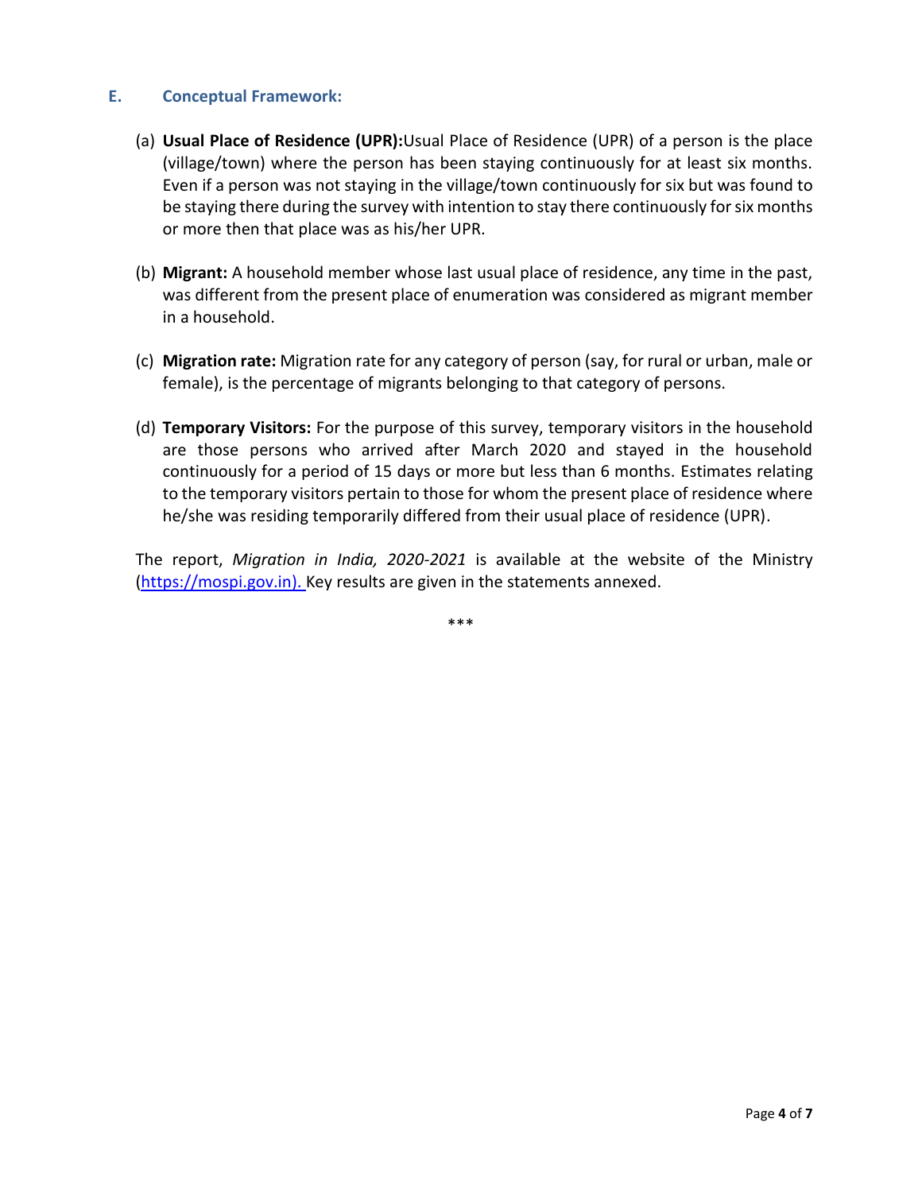#### **E. Conceptual Framework:**

- (a) **Usual Place of Residence (UPR):**Usual Place of Residence (UPR) of a person is the place (village/town) where the person has been staying continuously for at least six months. Even if a person was not staying in the village/town continuously for six but was found to be staying there during the survey with intention to stay there continuously for six months or more then that place was as his/her UPR.
- (b) **Migrant:** A household member whose last usual place of residence, any time in the past, was different from the present place of enumeration was considered as migrant member in a household.
- (c) **Migration rate:** Migration rate for any category of person (say, for rural or urban, male or female), is the percentage of migrants belonging to that category of persons.
- (d) **Temporary Visitors:** For the purpose of this survey, temporary visitors in the household are those persons who arrived after March 2020 and stayed in the household continuously for a period of 15 days or more but less than 6 months. Estimates relating to the temporary visitors pertain to those for whom the present place of residence where he/she was residing temporarily differed from their usual place of residence (UPR).

The report, *Migration in India, 2020-2021* is available at the website of the Ministry [\(https://mospi.gov.in\)](https://mospi.gov.in/). Key results are given in the statements annexed.

\*\*\*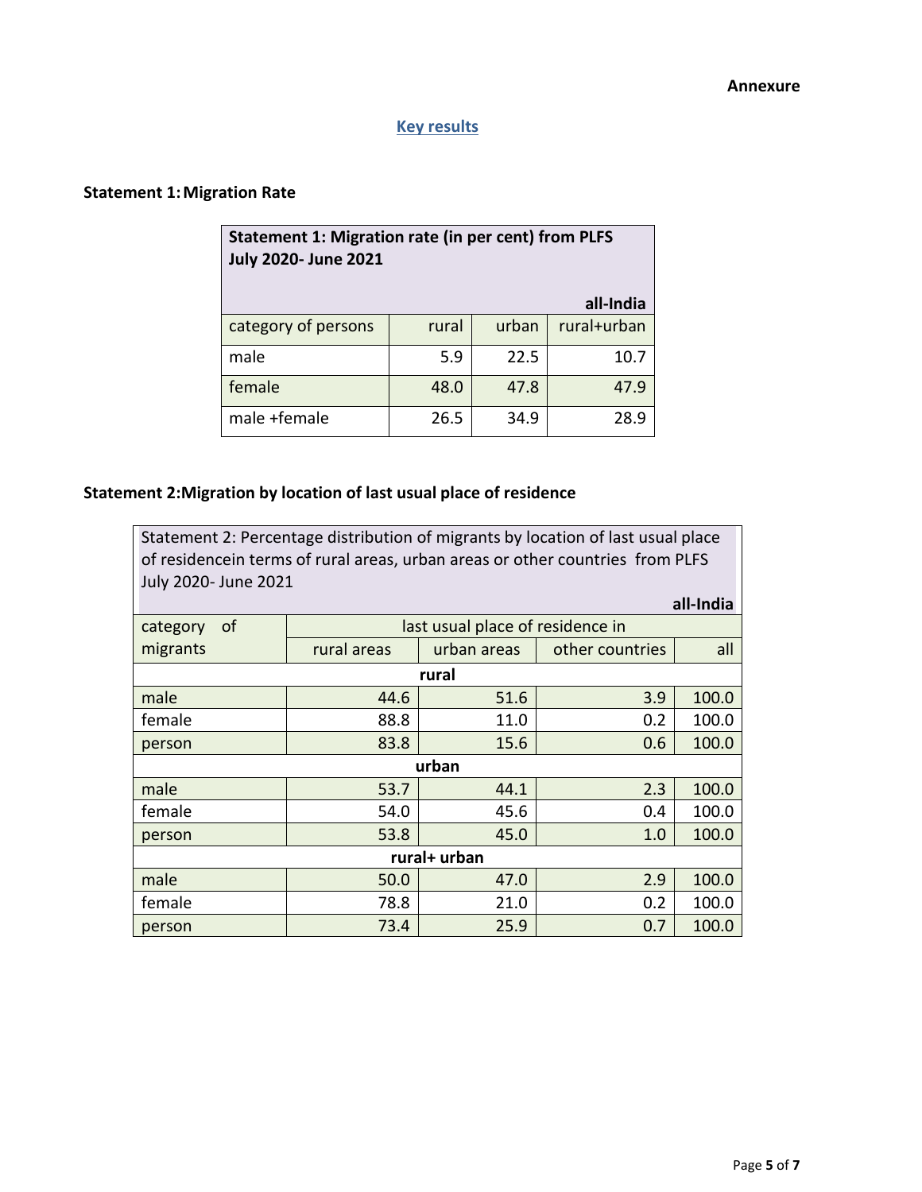# **Key results**

# **Statement 1:Migration Rate**

| Statement 1: Migration rate (in per cent) from PLFS<br><b>July 2020- June 2021</b> |       |       |             |
|------------------------------------------------------------------------------------|-------|-------|-------------|
|                                                                                    |       |       | all-India   |
| category of persons                                                                | rural | urban | rural+urban |
| male                                                                               | 5.9   | 22.5  | 10.7        |
| female                                                                             | 48.0  | 47.8  | 47.9        |
| male +female                                                                       | 26.5  | 34.9  | 28.9        |

# **Statement 2:Migration by location of last usual place of residence**

| Statement 2: Percentage distribution of migrants by location of last usual place<br>of residencein terms of rural areas, urban areas or other countries from PLFS<br>July 2020- June 2021 |             |                                  |                 |           |  |
|-------------------------------------------------------------------------------------------------------------------------------------------------------------------------------------------|-------------|----------------------------------|-----------------|-----------|--|
|                                                                                                                                                                                           |             |                                  |                 | all-India |  |
| of<br>category                                                                                                                                                                            |             | last usual place of residence in |                 |           |  |
| migrants                                                                                                                                                                                  | rural areas | urban areas                      | other countries | all       |  |
| rural                                                                                                                                                                                     |             |                                  |                 |           |  |
| male                                                                                                                                                                                      | 44.6        | 51.6                             | 3.9             | 100.0     |  |
| female                                                                                                                                                                                    | 88.8        | 11.0                             | 0.2             | 100.0     |  |
| person                                                                                                                                                                                    | 83.8        | 15.6                             | 0.6             | 100.0     |  |
| urban                                                                                                                                                                                     |             |                                  |                 |           |  |
| male                                                                                                                                                                                      | 53.7        | 44.1                             | 2.3             | 100.0     |  |
| female                                                                                                                                                                                    | 54.0        | 45.6                             | 0.4             | 100.0     |  |
| person                                                                                                                                                                                    | 53.8        | 45.0                             | 1.0             | 100.0     |  |
| rural+ urban                                                                                                                                                                              |             |                                  |                 |           |  |
| male                                                                                                                                                                                      | 50.0        | 47.0                             | 2.9             | 100.0     |  |
| female                                                                                                                                                                                    | 78.8        | 21.0                             | 0.2             | 100.0     |  |
| person                                                                                                                                                                                    | 73.4        | 25.9                             | 0.7             | 100.0     |  |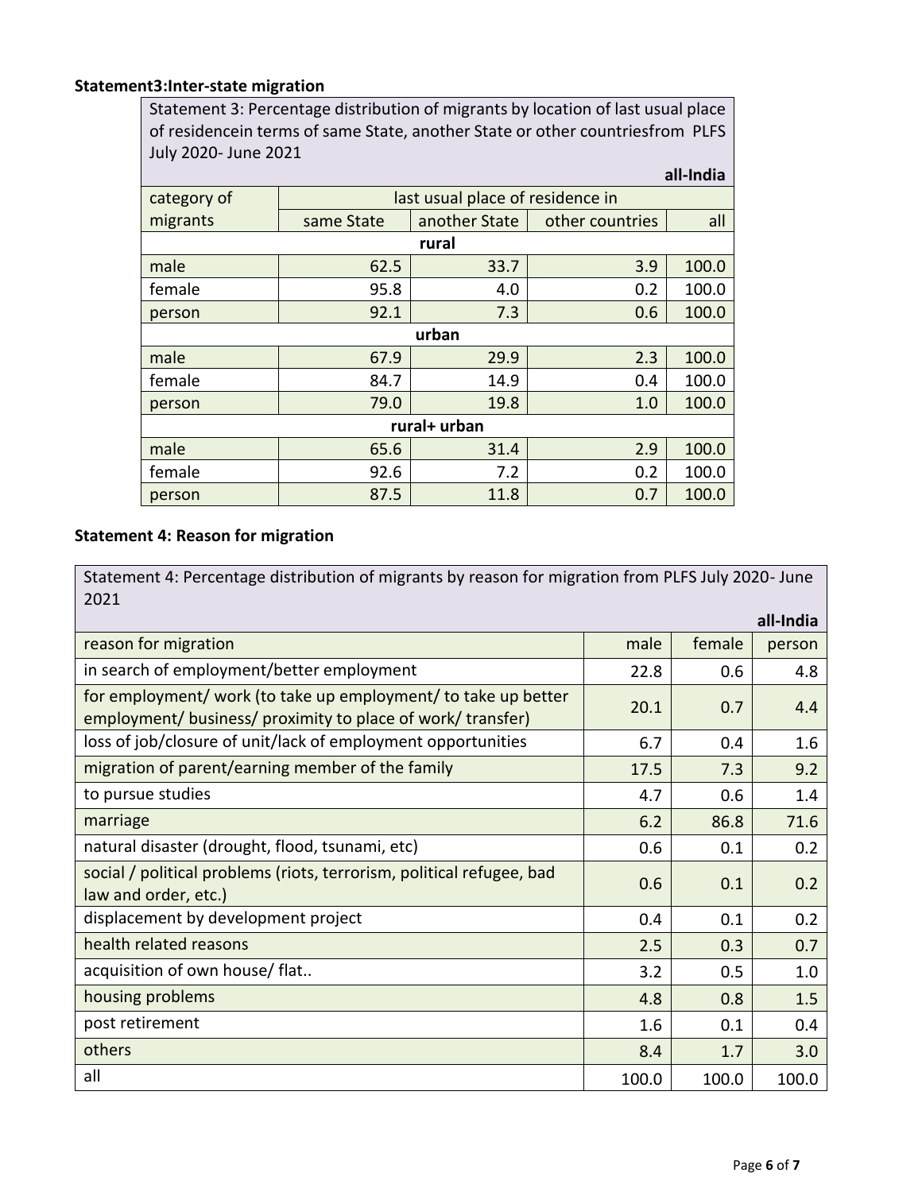## **Statement3:Inter-state migration**

Statement 3: Percentage distribution of migrants by location of last usual place of residencein terms of same State, another State or other countriesfrom PLFS July 2020- June 2021

| all-India    |                                  |               |                 |       |  |
|--------------|----------------------------------|---------------|-----------------|-------|--|
| category of  | last usual place of residence in |               |                 |       |  |
| migrants     | same State                       | another State | other countries | all   |  |
|              |                                  | rural         |                 |       |  |
| male         | 62.5                             | 33.7          | 3.9             | 100.0 |  |
| female       | 95.8                             | 4.0           | 0.2             | 100.0 |  |
| person       | 92.1                             | 7.3           | 0.6             | 100.0 |  |
| urban        |                                  |               |                 |       |  |
| male         | 67.9                             | 29.9          | 2.3             | 100.0 |  |
| female       | 84.7                             | 14.9          | 0.4             | 100.0 |  |
| person       | 79.0                             | 19.8          | 1.0             | 100.0 |  |
| rural+ urban |                                  |               |                 |       |  |
| male         | 65.6                             | 31.4          | 2.9             | 100.0 |  |
| female       | 92.6                             | 7.2           | 0.2             | 100.0 |  |
| person       | 87.5                             | 11.8          | 0.7             | 100.0 |  |

# **Statement 4: Reason for migration**

Statement 4: Percentage distribution of migrants by reason for migration from PLFS July 2020- June 2021

|                                                                                                                               |       |        | all-India |
|-------------------------------------------------------------------------------------------------------------------------------|-------|--------|-----------|
| reason for migration                                                                                                          | male  | female | person    |
| in search of employment/better employment                                                                                     | 22.8  | 0.6    | 4.8       |
| for employment/ work (to take up employment/ to take up better<br>employment/ business/ proximity to place of work/ transfer) | 20.1  | 0.7    | 4.4       |
| loss of job/closure of unit/lack of employment opportunities                                                                  | 6.7   | 0.4    | 1.6       |
| migration of parent/earning member of the family                                                                              | 17.5  | 7.3    | 9.2       |
| to pursue studies                                                                                                             | 4.7   | 0.6    | 1.4       |
| marriage                                                                                                                      | 6.2   | 86.8   | 71.6      |
| natural disaster (drought, flood, tsunami, etc)                                                                               | 0.6   | 0.1    | 0.2       |
| social / political problems (riots, terrorism, political refugee, bad<br>law and order, etc.)                                 | 0.6   | 0.1    | 0.2       |
| displacement by development project                                                                                           | 0.4   | 0.1    | 0.2       |
| health related reasons                                                                                                        | 2.5   | 0.3    | 0.7       |
| acquisition of own house/ flat                                                                                                | 3.2   | 0.5    | 1.0       |
| housing problems                                                                                                              | 4.8   | 0.8    | 1.5       |
| post retirement                                                                                                               | 1.6   | 0.1    | 0.4       |
| others                                                                                                                        | 8.4   | 1.7    | 3.0       |
| all                                                                                                                           | 100.0 | 100.0  | 100.0     |